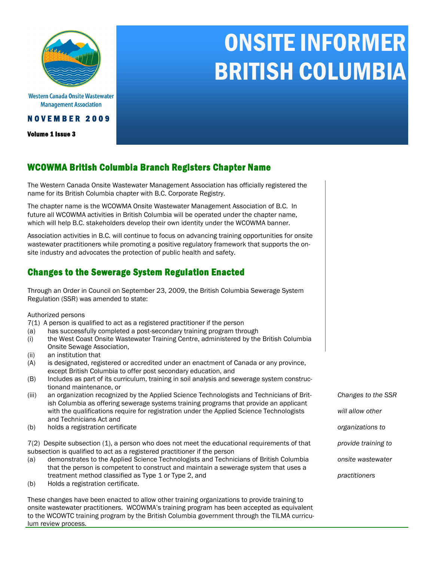

Western Canada Onsite Wastewater **Management Association** 

#### N O V E M B E R 2 0 0 9

Volume 1 Issue 3

# ONSITE INFORMER BRITISH COLUMBIA

## WCOWMA British Columbia Branch Registers Chapter Name

The Western Canada Onsite Wastewater Management Association has officially registered the name for its British Columbia chapter with B.C. Corporate Registry.

The chapter name is the WCOWMA Onsite Wastewater Management Association of B.C. In future all WCOWMA activities in British Columbia will be operated under the chapter name, which will help B.C. stakeholders develop their own identity under the WCOWMA banner.

Association activities in B.C. will continue to focus on advancing training opportunities for onsite wastewater practitioners while promoting a positive regulatory framework that supports the onsite industry and advocates the protection of public health and safety.

## Changes to the Sewerage System Regulation Enacted

Through an Order in Council on September 23, 2009, the British Columbia Sewerage System Regulation (SSR) was amended to state:

Authorized persons

- 7(1) A person is qualified to act as a registered practitioner if the person
- (a) has successfully completed a post-secondary training program through
- (i) the West Coast Onsite Wastewater Training Centre, administered by the British Columbia Onsite Sewage Association,
- (ii) an institution that
- (A) is designated, registered or accredited under an enactment of Canada or any province, except British Columbia to offer post secondary education, and
- (B) Includes as part of its curriculum, training in soil analysis and sewerage system constructionand maintenance, or
- (iii) an organization recognized by the Applied Science Technologists and Technicians of British Columbia as offering sewerage systems training programs that provide an applicant with the qualifications require for registration under the Applied Science Technologists and Technicians Act and
- (b) holds a registration certificate

7(2) Despite subsection (1), a person who does not meet the educational requirements of that subsection is qualified to act as a registered practitioner if the person

- (a) demonstrates to the Applied Science Technologists and Technicians of British Columbia that the person is competent to construct and maintain a sewerage system that uses a treatment method classified as Type 1 or Type 2, and
- (b) Holds a registration certificate.

These changes have been enacted to allow other training organizations to provide training to onsite wastewater practitioners. WCOWMA's training program has been accepted as equivalent to the WCOWTC training program by the British Columbia government through the TILMA curriculum review process.

*Changes to the SSR* 

- *will allow other*
- *organizations to*
- *provide training to*
- *onsite wastewater*
- *practitioners*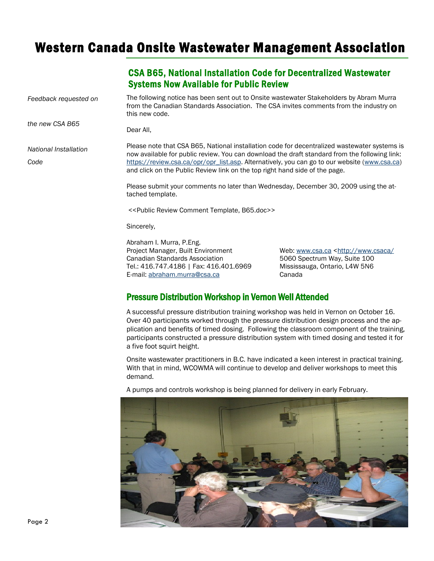# Western Canada Onsite Wastewater Management Association

## CSA B65, National Installation Code for Decentralized Wastewater Systems Now Available for Public Review

The following notice has been sent out to Onsite wastewater Stakeholders by Abram Murra from the Canadian Standards Association. The CSA invites comments from the industry on this new code. *Feedback requested on*

Dear All,

*National Installation* 

*the new CSA B65* 

*Code*

Please note that CSA B65, National installation code for decentralized wastewater systems is now available for public review. You can download the draft standard from the following link: [https://review.csa.ca/opr/opr\\_list.asp.](https://review.csa.ca/opr/opr_list.asp) Alternatively, you can go to our website [\(www.csa.ca\)](http://www.csa.ca) and click on the Public Review link on the top right hand side of the page.

Please submit your comments no later than Wednesday, December 30, 2009 using the attached template.

<<Public Review Comment Template, B65.doc>>

Sincerely,

Abraham I. Murra, P.Eng. Project Manager, Built Environment Web: [www.csa.ca](http://www.csa.ca) [<http://www.csaca/](http://www.csaca/) Canadian Standards Association 5060 Spectrum Way, Suite 100 Tel.: 416.747.4186 | Fax: 416.401.6969 Mississauga, Ontario, L4W 5N6 E-mail: [abraham.murra@csa.ca](mailto:abraham.murra@csa.ca) Canada

#### Pressure Distribution Workshop in Vernon Well Attended

A successful pressure distribution training workshop was held in Vernon on October 16. Over 40 participants worked through the pressure distribution design process and the application and benefits of timed dosing. Following the classroom component of the training, participants constructed a pressure distribution system with timed dosing and tested it for a five foot squirt height.

Onsite wastewater practitioners in B.C. have indicated a keen interest in practical training. With that in mind, WCOWMA will continue to develop and deliver workshops to meet this demand.

A pumps and controls workshop is being planned for delivery in early February.

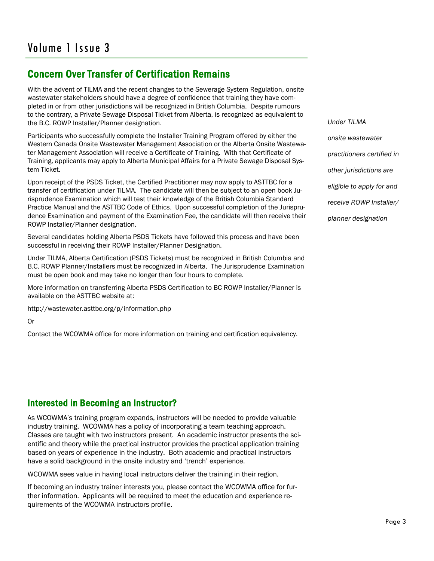## Concern Over Transfer of Certification Remains

With the advent of TILMA and the recent changes to the Sewerage System Regulation, onsite wastewater stakeholders should have a degree of confidence that training they have completed in or from other jurisdictions will be recognized in British Columbia. Despite rumours to the contrary, a Private Sewage Disposal Ticket from Alberta, is recognized as equivalent to the B.C. ROWP Installer/Planner designation.

Participants who successfully complete the Installer Training Program offered by either the Western Canada Onsite Wastewater Management Association or the Alberta Onsite Wastewater Management Association will receive a Certificate of Training. With that Certificate of Training, applicants may apply to Alberta Municipal Affairs for a Private Sewage Disposal System Ticket.

Upon receipt of the PSDS Ticket, the Certified Practitioner may now apply to ASTTBC for a transfer of certification under TILMA. The candidate will then be subject to an open book Jurisprudence Examination which will test their knowledge of the British Columbia Standard Practice Manual and the ASTTBC Code of Ethics. Upon successful completion of the Jurisprudence Examination and payment of the Examination Fee, the candidate will then receive their ROWP Installer/Planner designation.

Several candidates holding Alberta PSDS Tickets have followed this process and have been successful in receiving their ROWP Installer/Planner Designation.

Under TILMA, Alberta Certification (PSDS Tickets) must be recognized in British Columbia and B.C. ROWP Planner/Installers must be recognized in Alberta. The Jurisprudence Examination must be open book and may take no longer than four hours to complete.

More information on transferring Alberta PSDS Certification to BC ROWP Installer/Planner is available on the ASTTBC website at:

http://wastewater.asttbc.org/p/information.php

Or

Contact the WCOWMA office for more information on training and certification equivalency.

*Under TILMA onsite wastewater practitioners certified in other jurisdictions are eligible to apply for and receive ROWP Installer/ planner designation*

## Interested in Becoming an Instructor?

As WCOWMA's training program expands, instructors will be needed to provide valuable industry training. WCOWMA has a policy of incorporating a team teaching approach. Classes are taught with two instructors present. An academic instructor presents the scientific and theory while the practical instructor provides the practical application training based on years of experience in the industry. Both academic and practical instructors have a solid background in the onsite industry and 'trench' experience.

WCOWMA sees value in having local instructors deliver the training in their region.

If becoming an industry trainer interests you, please contact the WCOWMA office for further information. Applicants will be required to meet the education and experience requirements of the WCOWMA instructors profile.